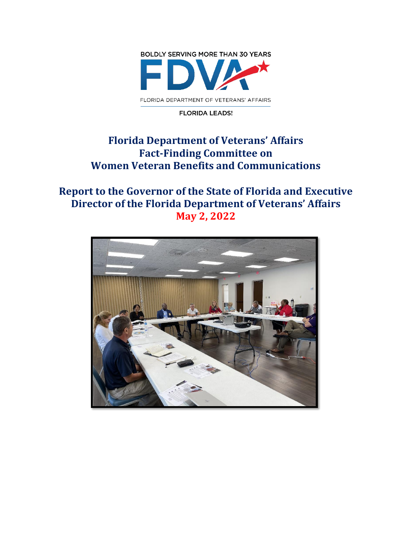

#### **FLORIDA LEADS!**

# **Florida Department of Veterans' Affairs Fact-Finding Committee on Women Veteran Benefits and Communications**

# **Report to the Governor of the State of Florida and Executive Director of the Florida Department of Veterans' Affairs May 2, 2022**

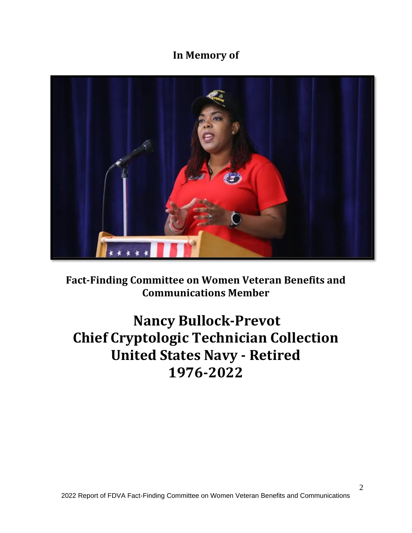# **In Memory of**



**Fact-Finding Committee on Women Veteran Benefits and Communications Member**

# **Nancy Bullock-Prevot Chief Cryptologic Technician Collection United States Navy - Retired 1976-2022**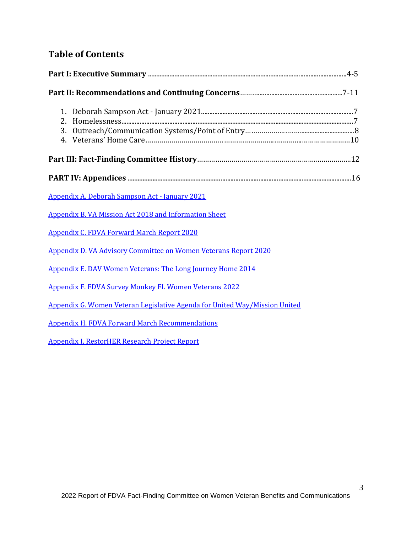# **Table of Contents**

| 1.<br>2.<br>3.                                                             |  |  |  |  |  |
|----------------------------------------------------------------------------|--|--|--|--|--|
|                                                                            |  |  |  |  |  |
|                                                                            |  |  |  |  |  |
| <b>Appendix A. Deborah Sampson Act - January 2021</b>                      |  |  |  |  |  |
| <b>Appendix B. VA Mission Act 2018 and Information Sheet</b>               |  |  |  |  |  |
| <b>Appendix C. FDVA Forward March Report 2020</b>                          |  |  |  |  |  |
| <b>Appendix D. VA Advisory Committee on Women Veterans Report 2020</b>     |  |  |  |  |  |
| Appendix E. DAV Women Veterans: The Long Journey Home 2014                 |  |  |  |  |  |
| <b>Appendix F. FDVA Survey Monkey FL Women Veterans 2022</b>               |  |  |  |  |  |
| Appendix G. Women Veteran Legislative Agenda for United Way/Mission United |  |  |  |  |  |
| <b>Appendix H. FDVA Forward March Recommendations</b>                      |  |  |  |  |  |
| <b>Appendix I. RestorHER Research Project Report</b>                       |  |  |  |  |  |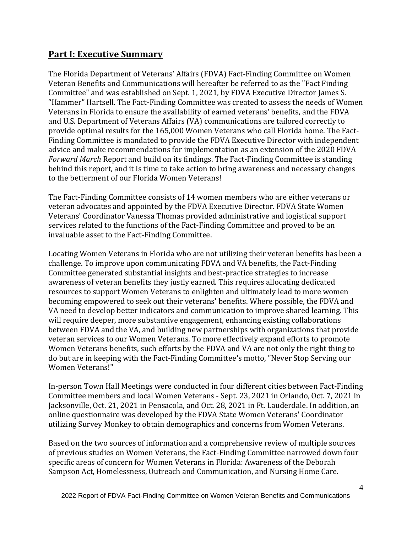## **Part I: Executive Summary**

The Florida Department of Veterans' Affairs (FDVA) Fact-Finding Committee on Women Veteran Benefits and Communications will hereafter be referred to as the "Fact Finding Committee" and was established on Sept. 1, 2021, by FDVA Executive Director James S. "Hammer" Hartsell. The Fact-Finding Committee was created to assess the needs of Women Veterans in Florida to ensure the availability of earned veterans' benefits, and the FDVA and U.S. Department of Veterans Affairs (VA) communications are tailored correctly to provide optimal results for the 165,000 Women Veterans who call Florida home. The Fact-Finding Committee is mandated to provide the FDVA Executive Director with independent advice and make recommendations for implementation as an extension of the 2020 FDVA *Forward March* Report and build on its findings. The Fact-Finding Committee is standing behind this report, and it is time to take action to bring awareness and necessary changes to the betterment of our Florida Women Veterans!

The Fact-Finding Committee consists of 14 women members who are either veterans or veteran advocates and appointed by the FDVA Executive Director. FDVA State Women Veterans' Coordinator Vanessa Thomas provided administrative and logistical support services related to the functions of the Fact-Finding Committee and proved to be an invaluable asset to the Fact-Finding Committee.

Locating Women Veterans in Florida who are not utilizing their veteran benefits has been a challenge. To improve upon communicating FDVA and VA benefits, the Fact-Finding Committee generated substantial insights and best-practice strategies to increase awareness of veteran benefits they justly earned. This requires allocating dedicated resources to support Women Veterans to enlighten and ultimately lead to more women becoming empowered to seek out their veterans' benefits. Where possible, the FDVA and VA need to develop better indicators and communication to improve shared learning. This will require deeper, more substantive engagement, enhancing existing collaborations between FDVA and the VA, and building new partnerships with organizations that provide veteran services to our Women Veterans. To more effectively expand efforts to promote Women Veterans benefits, such efforts by the FDVA and VA are not only the right thing to do but are in keeping with the Fact-Finding Committee's motto, "Never Stop Serving our Women Veterans!"

In-person Town Hall Meetings were conducted in four different cities between Fact-Finding Committee members and local Women Veterans - Sept. 23, 2021 in Orlando, Oct. 7, 2021 in Jacksonville, Oct. 21, 2021 in Pensacola, and Oct. 28, 2021 in Ft. Lauderdale. In addition, an online questionnaire was developed by the FDVA State Women Veterans' Coordinator utilizing Survey Monkey to obtain demographics and concerns from Women Veterans.

Based on the two sources of information and a comprehensive review of multiple sources of previous studies on Women Veterans, the Fact-Finding Committee narrowed down four specific areas of concern for Women Veterans in Florida: Awareness of the Deborah Sampson Act, Homelessness, Outreach and Communication, and Nursing Home Care.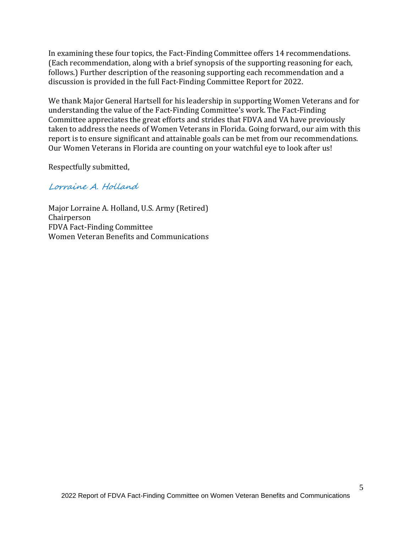In examining these four topics, the Fact-Finding Committee offers 14 recommendations. (Each recommendation, along with a brief synopsis of the supporting reasoning for each, follows.) Further description of the reasoning supporting each recommendation and a discussion is provided in the full Fact-Finding Committee Report for 2022.

We thank Major General Hartsell for his leadership in supporting Women Veterans and for understanding the value of the Fact-Finding Committee's work. The Fact-Finding Committee appreciates the great efforts and strides that FDVA and VA have previously taken to address the needs of Women Veterans in Florida. Going forward, our aim with this report is to ensure significant and attainable goals can be met from our recommendations. Our Women Veterans in Florida are counting on your watchful eye to look after us!

Respectfully submitted,

#### Lorraine A. Holland

Major Lorraine A. Holland, U.S. Army (Retired) Chairperson FDVA Fact-Finding Committee Women Veteran Benefits and Communications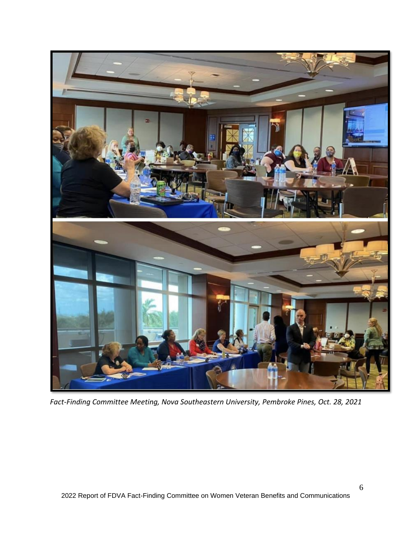

*Fact-Finding Committee Meeting, Nova Southeastern University, Pembroke Pines, Oct. 28, 2021*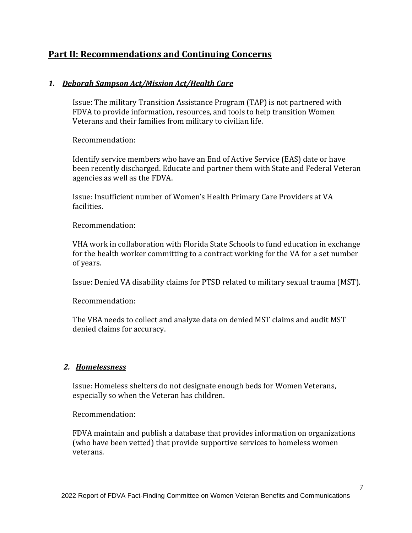## **Part II: Recommendations and Continuing Concerns**

#### *1. Deborah Sampson Act/Mission Act/Health Care*

Issue: The military Transition Assistance Program (TAP) is not partnered with FDVA to provide information, resources, and tools to help transition Women Veterans and their families from military to civilian life.

Recommendation:

Identify service members who have an End of Active Service (EAS) date or have been recently discharged. Educate and partner them with State and Federal Veteran agencies as well as the FDVA.

Issue: Insufficient number of Women's Health Primary Care Providers at VA facilities.

Recommendation:

VHA work in collaboration with Florida State Schools to fund education in exchange for the health worker committing to a contract working for the VA for a set number of years.

Issue: Denied VA disability claims for PTSD related to military sexual trauma (MST).

Recommendation:

The VBA needs to collect and analyze data on denied MST claims and audit MST denied claims for accuracy.

#### *2. Homelessness*

Issue: Homeless shelters do not designate enough beds for Women Veterans, especially so when the Veteran has children.

#### Recommendation:

FDVA maintain and publish a database that provides information on organizations (who have been vetted) that provide supportive services to homeless women veterans.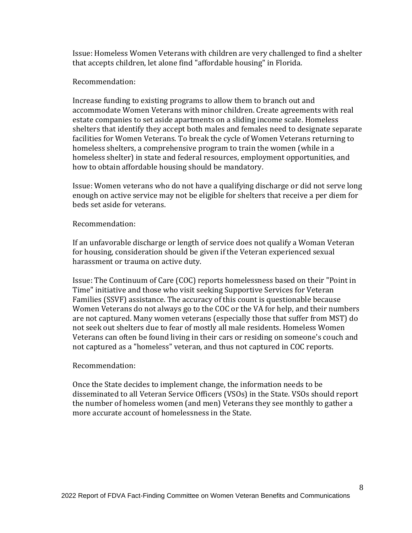Issue: Homeless Women Veterans with children are very challenged to find a shelter that accepts children, let alone find "affordable housing" in Florida.

#### Recommendation:

Increase funding to existing programs to allow them to branch out and accommodate Women Veterans with minor children. Create agreements with real estate companies to set aside apartments on a sliding income scale. Homeless shelters that identify they accept both males and females need to designate separate facilities for Women Veterans. To break the cycle of Women Veterans returning to homeless shelters, a comprehensive program to train the women (while in a homeless shelter) in state and federal resources, employment opportunities, and how to obtain affordable housing should be mandatory.

Issue: Women veterans who do not have a qualifying discharge or did not serve long enough on active service may not be eligible for shelters that receive a per diem for beds set aside for veterans.

#### Recommendation:

If an unfavorable discharge or length of service does not qualify a Woman Veteran for housing, consideration should be given if the Veteran experienced sexual harassment or trauma on active duty.

Issue: The Continuum of Care (COC) reports homelessness based on their "Point in Time" initiative and those who visit seeking Supportive Services for Veteran Families (SSVF) assistance. The accuracy of this count is questionable because Women Veterans do not always go to the COC or the VA for help, and their numbers are not captured. Many women veterans (especially those that suffer from MST) do not seek out shelters due to fear of mostly all male residents. Homeless Women Veterans can often be found living in their cars or residing on someone's couch and not captured as a "homeless" veteran, and thus not captured in COC reports.

#### Recommendation:

Once the State decides to implement change, the information needs to be disseminated to all Veteran Service Officers (VSOs) in the State. VSOs should report the number of homeless women (and men) Veterans they see monthly to gather a more accurate account of homelessness in the State.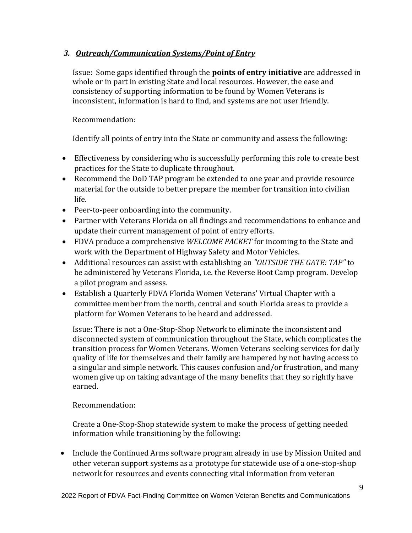## *3. Outreach/Communication Systems/Point of Entry*

Issue: Some gaps identified through the **points of entry initiative** are addressed in whole or in part in existing State and local resources. However, the ease and consistency of supporting information to be found by Women Veterans is inconsistent, information is hard to find, and systems are not user friendly.

Recommendation:

Identify all points of entry into the State or community and assess the following:

- Effectiveness by considering who is successfully performing this role to create best practices for the State to duplicate throughout.
- Recommend the DoD TAP program be extended to one year and provide resource material for the outside to better prepare the member for transition into civilian life.
- Peer-to-peer onboarding into the community.
- Partner with Veterans Florida on all findings and recommendations to enhance and update their current management of point of entry efforts.
- FDVA produce a comprehensive *WELCOME PACKET* for incoming to the State and work with the Department of Highway Safety and Motor Vehicles.
- Additional resources can assist with establishing an *"OUTSIDE THE GATE: TAP"* to be administered by Veterans Florida, i.e. the Reverse Boot Camp program. Develop a pilot program and assess.
- Establish a Quarterly FDVA Florida Women Veterans' Virtual Chapter with a committee member from the north, central and south Florida areas to provide a platform for Women Veterans to be heard and addressed.

Issue: There is not a One-Stop-Shop Network to eliminate the inconsistent and disconnected system of communication throughout the State, which complicates the transition process for Women Veterans. Women Veterans seeking services for daily quality of life for themselves and their family are hampered by not having access to a singular and simple network. This causes confusion and/or frustration, and many women give up on taking advantage of the many benefits that they so rightly have earned.

## Recommendation:

Create a One-Stop-Shop statewide system to make the process of getting needed information while transitioning by the following:

• Include the Continued Arms software program already in use by Mission United and other veteran support systems as a prototype for statewide use of a one-stop-shop network for resources and events connecting vital information from veteran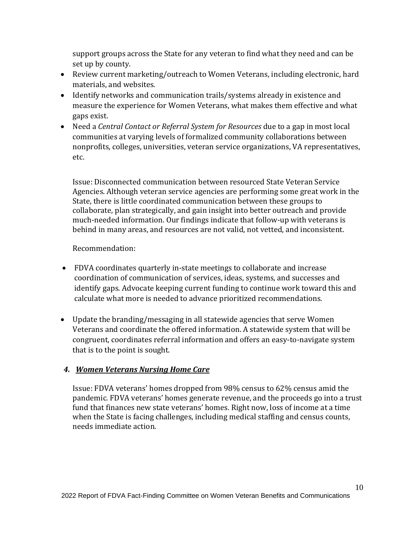support groups across the State for any veteran to find what they need and can be set up by county.

- Review current marketing/outreach to Women Veterans, including electronic, hard materials, and websites.
- Identify networks and communication trails/systems already in existence and measure the experience for Women Veterans, what makes them effective and what gaps exist.
- Need a *Central Contact or Referral System for Resources* due to a gap in most local communities at varying levels of formalized community collaborations between nonprofits, colleges, universities, veteran service organizations, VA representatives, etc.

Issue: Disconnected communication between resourced State Veteran Service Agencies. Although veteran service agencies are performing some great work in the State, there is little coordinated communication between these groups to collaborate, plan strategically, and gain insight into better outreach and provide much-needed information. Our findings indicate that follow-up with veterans is behind in many areas, and resources are not valid, not vetted, and inconsistent.

#### Recommendation:

- FDVA coordinates quarterly in-state meetings to collaborate and increase coordination of communication of services, ideas, systems, and successes and identify gaps. Advocate keeping current funding to continue work toward this and calculate what more is needed to advance prioritized recommendations.
- Update the branding/messaging in all statewide agencies that serve Women Veterans and coordinate the offered information. A statewide system that will be congruent, coordinates referral information and offers an easy-to-navigate system that is to the point is sought.

## *4. Women Veterans Nursing Home Care*

Issue: FDVA veterans' homes dropped from 98% census to 62% census amid the pandemic. FDVA veterans' homes generate revenue, and the proceeds go into a trust fund that finances new state veterans' homes. Right now, loss of income at a time when the State is facing challenges, including medical staffing and census counts, needs immediate action.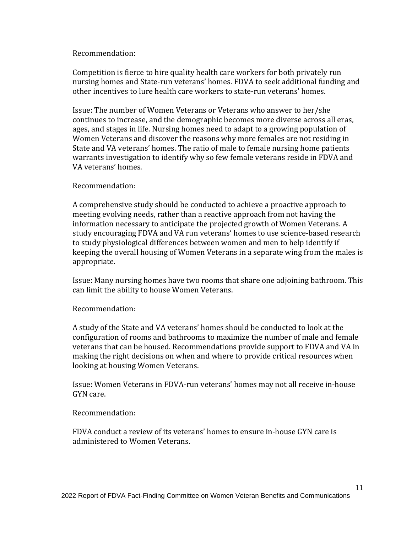#### Recommendation:

Competition is fierce to hire quality health care workers for both privately run nursing homes and State-run veterans' homes. FDVA to seek additional funding and other incentives to lure health care workers to state-run veterans' homes.

Issue: The number of Women Veterans or Veterans who answer to her/she continues to increase, and the demographic becomes more diverse across all eras, ages, and stages in life. Nursing homes need to adapt to a growing population of Women Veterans and discover the reasons why more females are not residing in State and VA veterans' homes. The ratio of male to female nursing home patients warrants investigation to identify why so few female veterans reside in FDVA and VA veterans' homes.

#### Recommendation:

A comprehensive study should be conducted to achieve a proactive approach to meeting evolving needs, rather than a reactive approach from not having the information necessary to anticipate the projected growth of Women Veterans. A study encouraging FDVA and VA run veterans' homes to use science‐based research to study physiological differences between women and men to help identify if keeping the overall housing of Women Veterans in a separate wing from the males is appropriate.

Issue: Many nursing homes have two rooms that share one adjoining bathroom. This can limit the ability to house Women Veterans.

#### Recommendation:

A study of the State and VA veterans' homes should be conducted to look at the configuration of rooms and bathrooms to maximize the number of male and female veterans that can be housed. Recommendations provide support to FDVA and VA in making the right decisions on when and where to provide critical resources when looking at housing Women Veterans.

Issue: Women Veterans in FDVA-run veterans' homes may not all receive in-house GYN care.

#### Recommendation:

FDVA conduct a review of its veterans' homes to ensure in-house GYN care is administered to Women Veterans.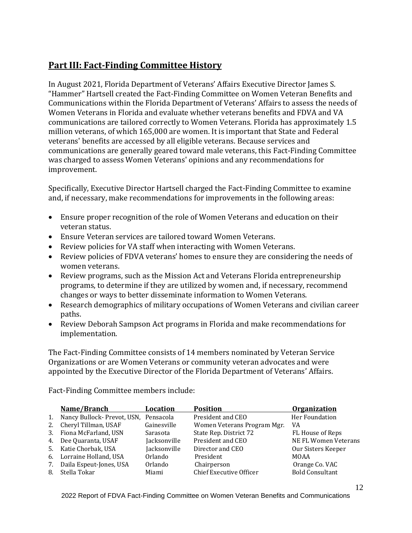# **Part III: Fact-Finding Committee History**

In August 2021, Florida Department of Veterans' Affairs Executive Director James S. "Hammer" Hartsell created the Fact-Finding Committee on Women Veteran Benefits and Communications within the Florida Department of Veterans' Affairs to assess the needs of Women Veterans in Florida and evaluate whether veterans benefits and FDVA and VA communications are tailored correctly to Women Veterans. Florida has approximately 1.5 million veterans, of which 165,000 are women. It is important that State and Federal veterans' benefits are accessed by all eligible veterans. Because services and communications are generally geared toward male veterans, this Fact-Finding Committee was charged to assess Women Veterans' opinions and any recommendations for improvement.

Specifically, Executive Director Hartsell charged the Fact-Finding Committee to examine and, if necessary, make recommendations for improvements in the following areas:

- Ensure proper recognition of the role of Women Veterans and education on their veteran status.
- Ensure Veteran services are tailored toward Women Veterans.
- Review policies for VA staff when interacting with Women Veterans.
- Review policies of FDVA veterans' homes to ensure they are considering the needs of women veterans.
- Review programs, such as the Mission Act and Veterans Florida entrepreneurship programs, to determine if they are utilized by women and, if necessary, recommend changes or ways to better disseminate information to Women Veterans.
- Research demographics of military occupations of Women Veterans and civilian career paths.
- Review Deborah Sampson Act programs in Florida and make recommendations for implementation.

The Fact-Finding Committee consists of 14 members nominated by Veteran Service Organizations or are Women Veterans or community veteran advocates and were appointed by the Executive Director of the Florida Department of Veterans' Affairs.

Fact-Finding Committee members include:

|    | Name/Branch                              | Location     | <b>Position</b>             | <b>Organization</b>    |
|----|------------------------------------------|--------------|-----------------------------|------------------------|
|    | 1. Nancy Bullock- Prevot, USN, Pensacola |              | President and CEO           | Her Foundation         |
|    | 2. Cheryl Tillman, USAF                  | Gainesville  | Women Veterans Program Mgr. | VA                     |
|    | 3. Fiona McFarland, USN                  | Sarasota     | State Rep. District 72      | FL House of Reps       |
|    | 4. Dee Quaranta, USAF                    | Jacksonville | President and CEO           | NE FL Women Veterans   |
|    | 5. Katie Chorbak, USA                    | Jacksonville | Director and CEO            | Our Sisters Keeper     |
|    | 6. Lorraine Holland, USA                 | Orlando      | President                   | MOAA                   |
| 7. | Daila Espeut-Jones, USA                  | Orlando      | Chairperson                 | Orange Co. VAC         |
| 8. | Stella Tokar                             | Miami        | Chief Executive Officer     | <b>Bold Consultant</b> |

2022 Report of FDVA Fact-Finding Committee on Women Veteran Benefits and Communications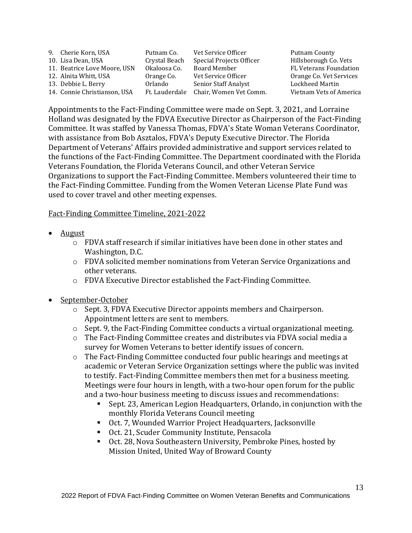| 9. Cherie Korn, USA          | Putnam Co.     | Vet Service Officer         | Putnam County                 |
|------------------------------|----------------|-----------------------------|-------------------------------|
| 10. Lisa Dean, USA           | Crystal Beach  | Special Projects Officer    | Hillsborough Co. Vets         |
| 11. Beatrice Love Moore, USN | Okaloosa Co.   | Board Member                | <b>FL Veterans Foundation</b> |
| 12. Alnita Whitt, USA        | Orange Co.     | Vet Service Officer         | Orange Co. Vet Services       |
| 13. Debbie L. Berry          | Orlando        | <b>Senior Staff Analyst</b> | Lockheed Martin               |
| 14. Connie Christianson, USA | Ft. Lauderdale | Chair, Women Vet Comm.      | Vietnam Vets of America       |

Appointments to the Fact-Finding Committee were made on Sept. 3, 2021, and Lorraine Holland was designated by the FDVA Executive Director as Chairperson of the Fact-Finding Committee. It was staffed by Vanessa Thomas, FDVA's State Woman Veterans Coordinator, with assistance from Bob Asztalos, FDVA's Deputy Executive Director. The Florida Department of Veterans' Affairs provided administrative and support services related to the functions of the Fact-Finding Committee. The Department coordinated with the Florida Veterans Foundation, the Florida Veterans Council, and other Veteran Service Organizations to support the Fact-Finding Committee. Members volunteered their time to the Fact-Finding Committee. Funding from the Women Veteran License Plate Fund was used to cover travel and other meeting expenses.

#### Fact-Finding Committee Timeline, 2021-2022

- August
	- o FDVA staff research if similar initiatives have been done in other states and Washington, D.C.
	- $\circ$  FDVA solicited member nominations from Veteran Service Organizations and other veterans.
	- o FDVA Executive Director established the Fact-Finding Committee.
- September-October
	- o Sept. 3, FDVA Executive Director appoints members and Chairperson. Appointment letters are sent to members.
	- o Sept. 9, the Fact-Finding Committee conducts a virtual organizational meeting.
	- o The Fact-Finding Committee creates and distributes via FDVA social media a survey for Women Veterans to better identify issues of concern.
	- $\circ$  The Fact-Finding Committee conducted four public hearings and meetings at academic or Veteran Service Organization settings where the public was invited to testify. Fact-Finding Committee members then met for a business meeting. Meetings were four hours in length, with a two-hour open forum for the public and a two-hour business meeting to discuss issues and recommendations:
		- Sept. 23, American Legion Headquarters, Orlando, in conjunction with the monthly Florida Veterans Council meeting
		- Oct. 7, Wounded Warrior Project Headquarters, Jacksonville
		- Oct. 21, Scuder Community Institute, Pensacola
		- Oct. 28, Nova Southeastern University, Pembroke Pines, hosted by Mission United, United Way of Broward County